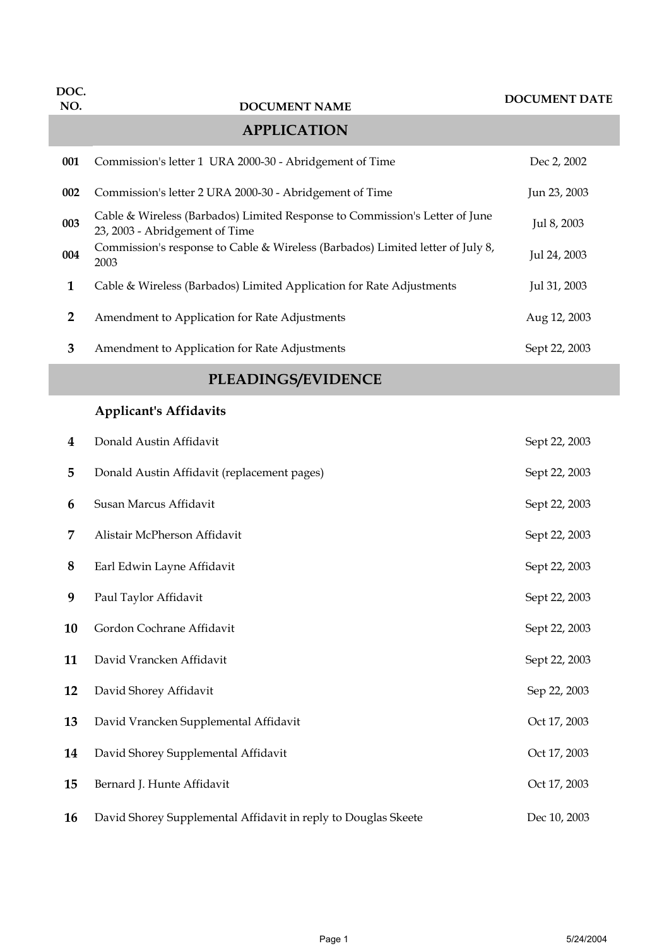| DOC.<br>NO.    | <b>DOCUMENT NAME</b>                                                                                          | <b>DOCUMENT DATE</b> |  |  |
|----------------|---------------------------------------------------------------------------------------------------------------|----------------------|--|--|
|                | <b>APPLICATION</b>                                                                                            |                      |  |  |
| 001            | Commission's letter 1 URA 2000-30 - Abridgement of Time                                                       | Dec 2, 2002          |  |  |
| 002            | Commission's letter 2 URA 2000-30 - Abridgement of Time                                                       | Jun 23, 2003         |  |  |
| 003            | Cable & Wireless (Barbados) Limited Response to Commission's Letter of June<br>23, 2003 - Abridgement of Time | Jul 8, 2003          |  |  |
| 004            | Commission's response to Cable & Wireless (Barbados) Limited letter of July 8,<br>2003                        | Jul 24, 2003         |  |  |
| $\mathbf{1}$   | Cable & Wireless (Barbados) Limited Application for Rate Adjustments                                          | Jul 31, 2003         |  |  |
| $\overline{2}$ | Amendment to Application for Rate Adjustments                                                                 | Aug 12, 2003         |  |  |
| 3              | Amendment to Application for Rate Adjustments                                                                 | Sept 22, 2003        |  |  |
|                | PLEADINGS/EVIDENCE                                                                                            |                      |  |  |
|                | <b>Applicant's Affidavits</b>                                                                                 |                      |  |  |
| 4              | Donald Austin Affidavit                                                                                       | Sept 22, 2003        |  |  |
| 5              | Donald Austin Affidavit (replacement pages)                                                                   | Sept 22, 2003        |  |  |
| 6              | Susan Marcus Affidavit                                                                                        | Sept 22, 2003        |  |  |
| 7              | Alistair McPherson Affidavit                                                                                  | Sept 22, 2003        |  |  |
| 8              | Earl Edwin Layne Affidavit                                                                                    | Sept 22, 2003        |  |  |
| 9              | Paul Taylor Affidavit                                                                                         | Sept 22, 2003        |  |  |
| 10             | Gordon Cochrane Affidavit                                                                                     | Sept 22, 2003        |  |  |
| 11             | David Vrancken Affidavit                                                                                      | Sept 22, 2003        |  |  |
| 12             | David Shorey Affidavit                                                                                        | Sep 22, 2003         |  |  |
| 13             | David Vrancken Supplemental Affidavit                                                                         | Oct 17, 2003         |  |  |

 David Shorey Supplemental Affidavit **Community** Oct 17, 2003 Bernard J. Hunte Affidavit Contract According Deviation Contract Oct 17, 2003

David Shorey Supplemental Affidavit in reply to Douglas Skeete Dec 10, 2003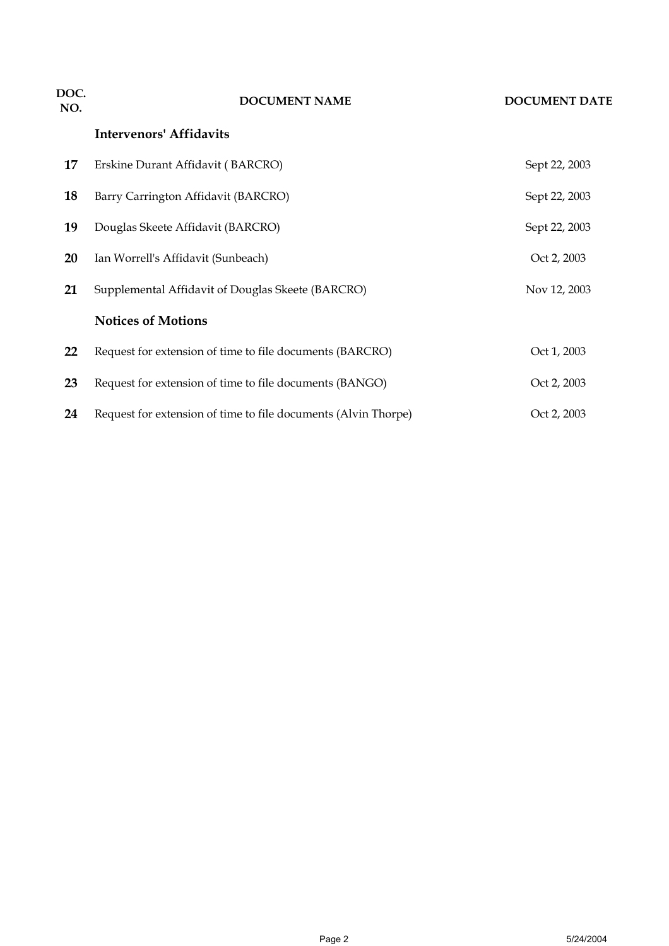| DOC.<br>NO. | <b>DOCUMENT NAME</b>                                           | <b>DOCUMENT DATE</b> |
|-------------|----------------------------------------------------------------|----------------------|
|             | <b>Intervenors' Affidavits</b>                                 |                      |
| 17          | Erskine Durant Affidavit (BARCRO)                              | Sept 22, 2003        |
| 18          | Barry Carrington Affidavit (BARCRO)                            | Sept 22, 2003        |
| 19          | Douglas Skeete Affidavit (BARCRO)                              | Sept 22, 2003        |
| 20          | Ian Worrell's Affidavit (Sunbeach)                             | Oct 2, 2003          |
| 21          | Supplemental Affidavit of Douglas Skeete (BARCRO)              | Nov 12, 2003         |
|             | <b>Notices of Motions</b>                                      |                      |
| 22          | Request for extension of time to file documents (BARCRO)       | Oct 1, 2003          |
| 23          | Request for extension of time to file documents (BANGO)        | Oct 2, 2003          |
| 24          | Request for extension of time to file documents (Alvin Thorpe) | Oct 2, 2003          |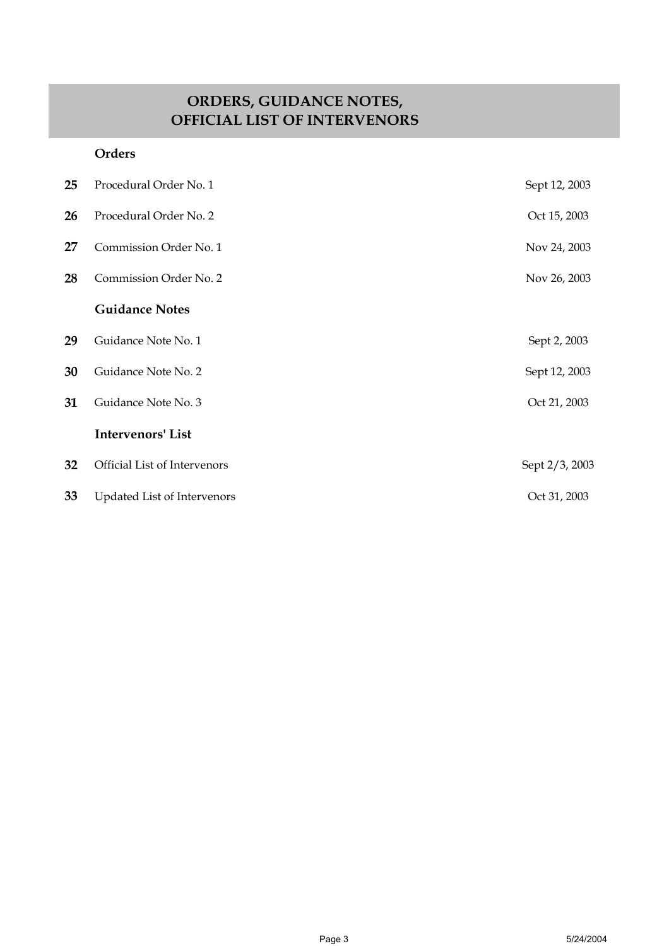## **ORDERS, GUIDANCE NOTES, OFFICIAL LIST OF INTERVENORS**

#### **Orders**

| 25 | Procedural Order No. 1       | Sept 12, 2003  |
|----|------------------------------|----------------|
| 26 | Procedural Order No. 2       | Oct 15, 2003   |
| 27 | Commission Order No. 1       | Nov 24, 2003   |
| 28 | Commission Order No. 2       | Nov 26, 2003   |
|    | <b>Guidance Notes</b>        |                |
| 29 | Guidance Note No. 1          | Sept 2, 2003   |
| 30 | Guidance Note No. 2          | Sept 12, 2003  |
| 31 | Guidance Note No. 3          | Oct 21, 2003   |
|    | <b>Intervenors' List</b>     |                |
| 32 | Official List of Intervenors | Sept 2/3, 2003 |
| 33 | Updated List of Intervenors  | Oct 31, 2003   |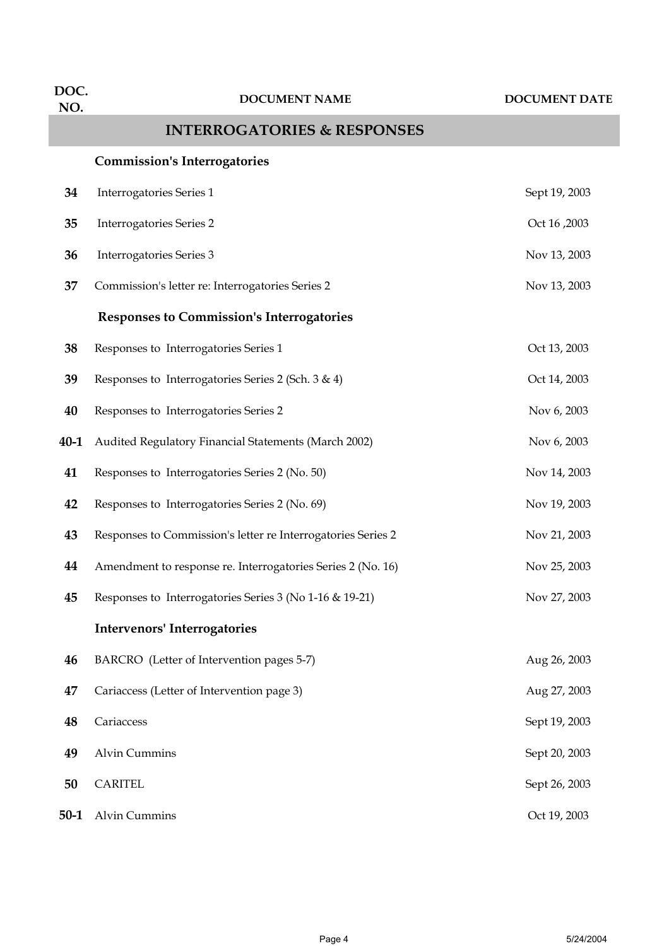| DOC.<br>NO. | <b>DOCUMENT NAME</b>                                         | <b>DOCUMENT DATE</b> |
|-------------|--------------------------------------------------------------|----------------------|
|             | <b>INTERROGATORIES &amp; RESPONSES</b>                       |                      |
|             | <b>Commission's Interrogatories</b>                          |                      |
| 34          | Interrogatories Series 1                                     | Sept 19, 2003        |
| 35          | <b>Interrogatories Series 2</b>                              | Oct 16, 2003         |
| 36          | Interrogatories Series 3                                     | Nov 13, 2003         |
| 37          | Commission's letter re: Interrogatories Series 2             | Nov 13, 2003         |
|             | <b>Responses to Commission's Interrogatories</b>             |                      |
| 38          | Responses to Interrogatories Series 1                        | Oct 13, 2003         |
| 39          | Responses to Interrogatories Series 2 (Sch. 3 & 4)           | Oct 14, 2003         |
| 40          | Responses to Interrogatories Series 2                        | Nov 6, 2003          |
| $40 - 1$    | Audited Regulatory Financial Statements (March 2002)         | Nov 6, 2003          |
| 41          | Responses to Interrogatories Series 2 (No. 50)               | Nov 14, 2003         |
| 42          | Responses to Interrogatories Series 2 (No. 69)               | Nov 19, 2003         |
| 43          | Responses to Commission's letter re Interrogatories Series 2 | Nov 21, 2003         |
| 44          | Amendment to response re. Interrogatories Series 2 (No. 16)  | Nov 25, 2003         |
| 45          | Responses to Interrogatories Series 3 (No 1-16 & 19-21)      | Nov 27, 2003         |
|             | <b>Intervenors' Interrogatories</b>                          |                      |
| 46          | BARCRO (Letter of Intervention pages 5-7)                    | Aug 26, 2003         |
| 47          | Cariaccess (Letter of Intervention page 3)                   | Aug 27, 2003         |
| 48          | Cariaccess                                                   | Sept 19, 2003        |
| 49          | <b>Alvin Cummins</b>                                         | Sept 20, 2003        |
| 50          | <b>CARITEL</b>                                               | Sept 26, 2003        |
| $50-1$      | <b>Alvin Cummins</b>                                         | Oct 19, 2003         |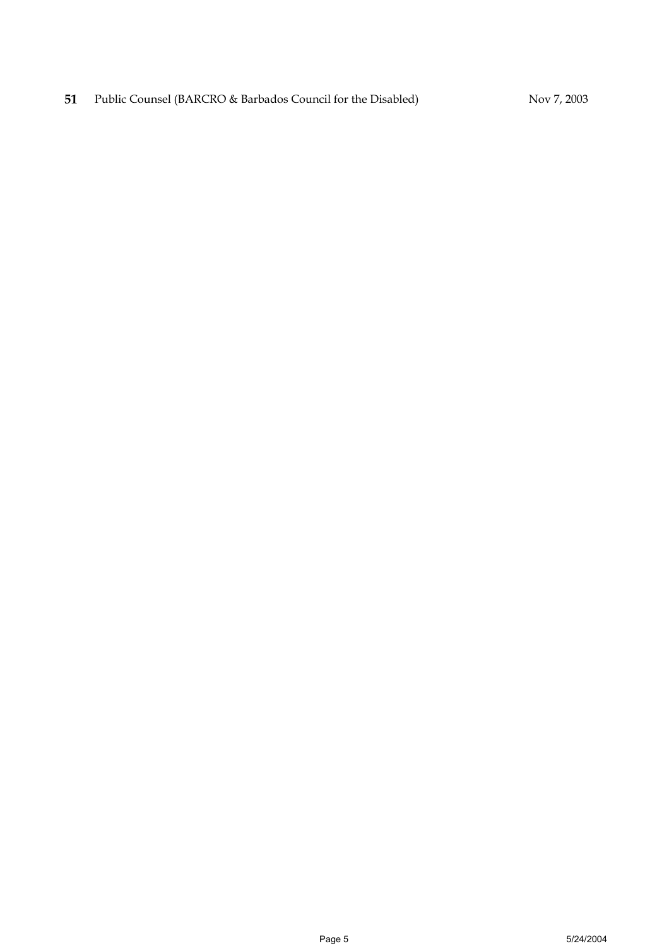**51** Public Counsel (BARCRO & Barbados Council for the Disabled) Nov 7, 2003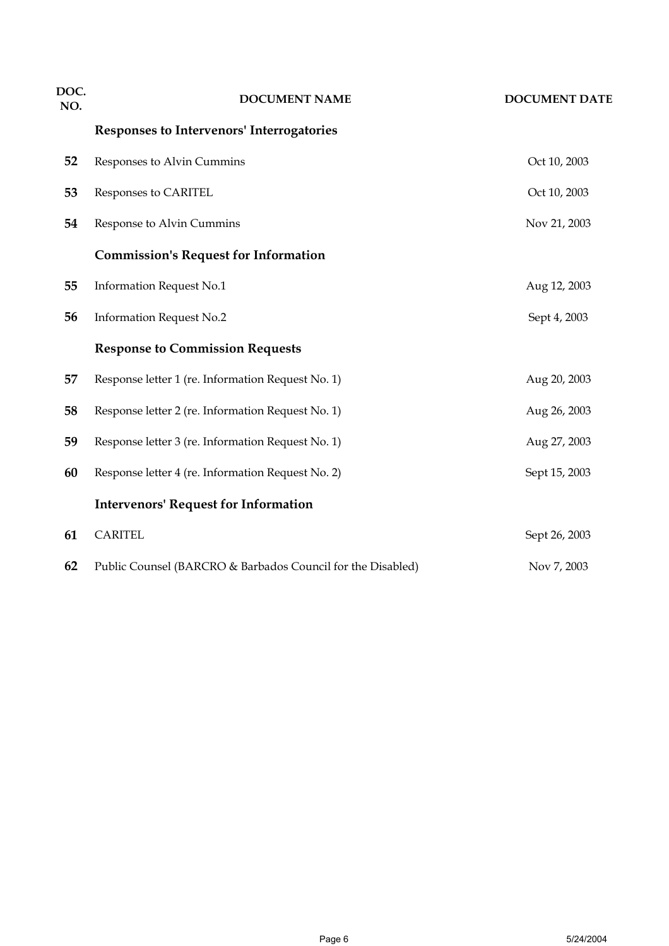| DOC.<br>NO. | <b>DOCUMENT NAME</b>                                        | <b>DOCUMENT DATE</b> |
|-------------|-------------------------------------------------------------|----------------------|
|             | Responses to Intervenors' Interrogatories                   |                      |
| 52          | Responses to Alvin Cummins                                  | Oct 10, 2003         |
| 53          | Responses to CARITEL                                        | Oct 10, 2003         |
| 54          | Response to Alvin Cummins                                   | Nov 21, 2003         |
|             | <b>Commission's Request for Information</b>                 |                      |
| 55          | <b>Information Request No.1</b>                             | Aug 12, 2003         |
| 56          | <b>Information Request No.2</b>                             | Sept 4, 2003         |
|             | <b>Response to Commission Requests</b>                      |                      |
| 57          | Response letter 1 (re. Information Request No. 1)           | Aug 20, 2003         |
| 58          | Response letter 2 (re. Information Request No. 1)           | Aug 26, 2003         |
| 59          | Response letter 3 (re. Information Request No. 1)           | Aug 27, 2003         |
| 60          | Response letter 4 (re. Information Request No. 2)           | Sept 15, 2003        |
|             | <b>Intervenors' Request for Information</b>                 |                      |
| 61          | <b>CARITEL</b>                                              | Sept 26, 2003        |
| 62          | Public Counsel (BARCRO & Barbados Council for the Disabled) | Nov 7, 2003          |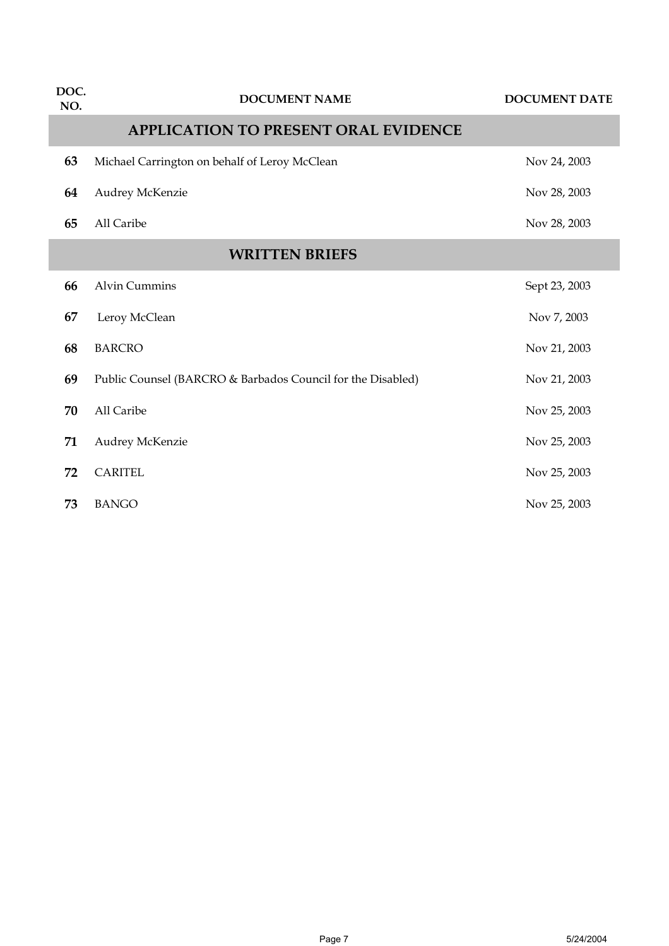| DOC.<br>NO. | <b>DOCUMENT NAME</b>                                        | <b>DOCUMENT DATE</b> |  |
|-------------|-------------------------------------------------------------|----------------------|--|
|             | <b>APPLICATION TO PRESENT ORAL EVIDENCE</b>                 |                      |  |
| 63          | Michael Carrington on behalf of Leroy McClean               | Nov 24, 2003         |  |
| 64          | Audrey McKenzie                                             | Nov 28, 2003         |  |
| 65          | All Caribe                                                  | Nov 28, 2003         |  |
|             | <b>WRITTEN BRIEFS</b>                                       |                      |  |
| 66          | <b>Alvin Cummins</b>                                        | Sept 23, 2003        |  |
| 67          | Leroy McClean                                               | Nov 7, 2003          |  |
| 68          | <b>BARCRO</b>                                               | Nov 21, 2003         |  |
| 69          | Public Counsel (BARCRO & Barbados Council for the Disabled) | Nov 21, 2003         |  |
| 70          | All Caribe                                                  | Nov 25, 2003         |  |
| 71          | Audrey McKenzie                                             | Nov 25, 2003         |  |
| 72          | <b>CARITEL</b>                                              | Nov 25, 2003         |  |
| 73          | <b>BANGO</b>                                                | Nov 25, 2003         |  |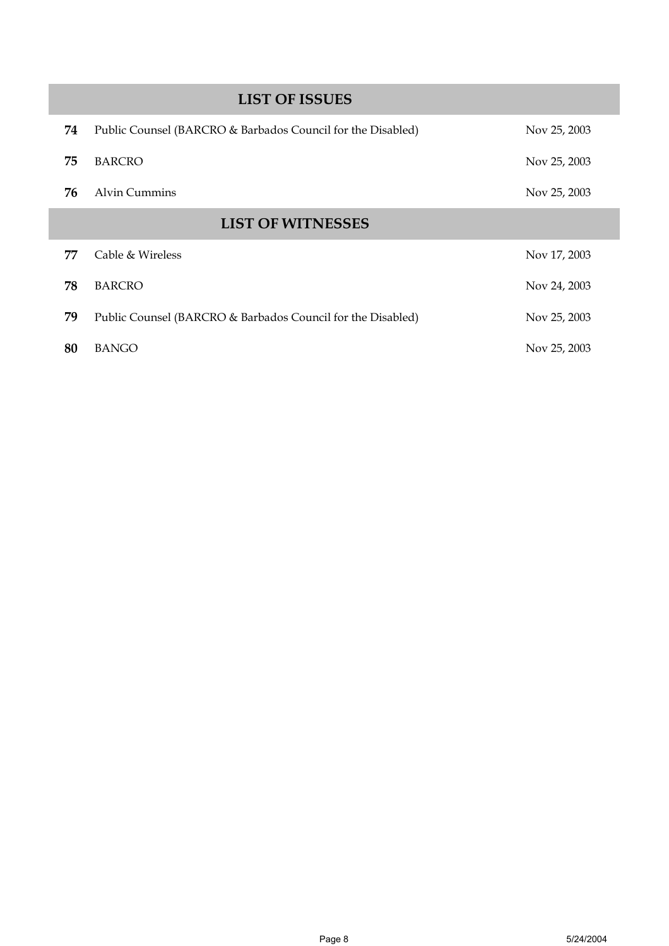|    | <b>LIST OF ISSUES</b>                                       |              |
|----|-------------------------------------------------------------|--------------|
| 74 | Public Counsel (BARCRO & Barbados Council for the Disabled) | Nov 25, 2003 |
| 75 | <b>BARCRO</b>                                               | Nov 25, 2003 |
| 76 | Alvin Cummins                                               | Nov 25, 2003 |
|    | <b>LIST OF WITNESSES</b>                                    |              |
| 77 | Cable & Wireless                                            | Nov 17, 2003 |
| 78 | <b>BARCRO</b>                                               | Nov 24, 2003 |
| 79 | Public Counsel (BARCRO & Barbados Council for the Disabled) | Nov 25, 2003 |
| 80 | <b>BANGO</b>                                                | Nov 25, 2003 |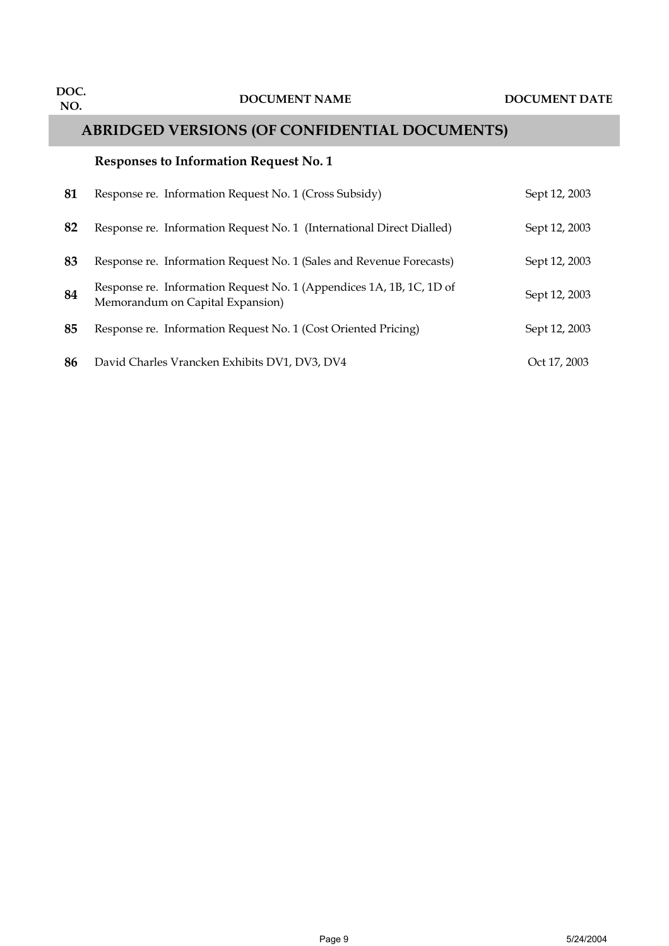## **ABRIDGED VERSIONS (OF CONFIDENTIAL DOCUMENTS)**

#### **Responses to Information Request No. 1**

| 81 | Response re. Information Request No. 1 (Cross Subsidy)                                                   | Sept 12, 2003 |
|----|----------------------------------------------------------------------------------------------------------|---------------|
| 82 | Response re. Information Request No. 1 (International Direct Dialled)                                    | Sept 12, 2003 |
| 83 | Response re. Information Request No. 1 (Sales and Revenue Forecasts)                                     | Sept 12, 2003 |
| 84 | Response re. Information Request No. 1 (Appendices 1A, 1B, 1C, 1D of<br>Memorandum on Capital Expansion) | Sept 12, 2003 |
| 85 | Response re. Information Request No. 1 (Cost Oriented Pricing)                                           | Sept 12, 2003 |
| 86 | David Charles Vrancken Exhibits DV1, DV3, DV4                                                            | Oct 17, 2003  |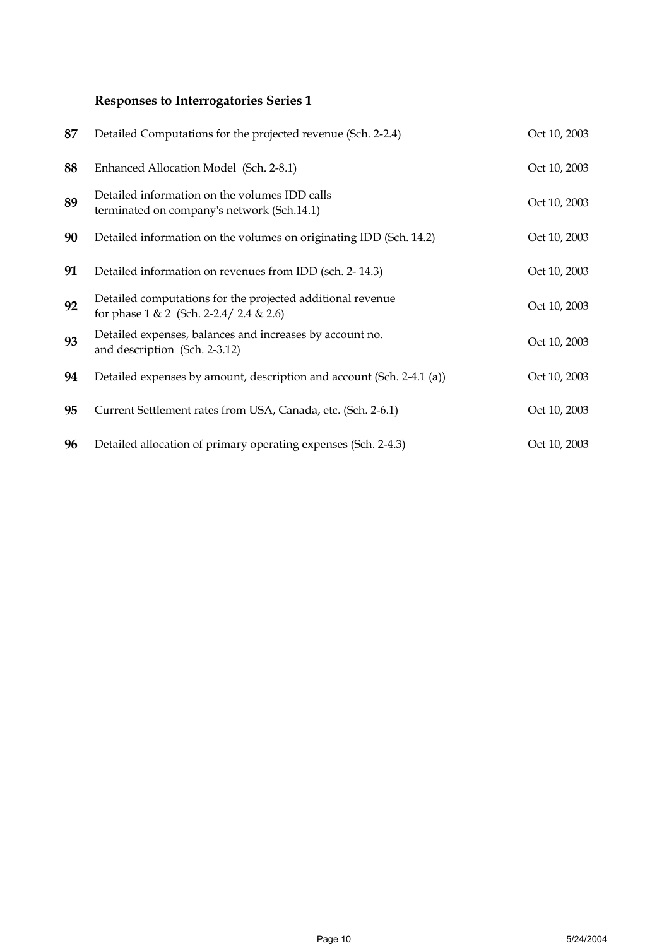## **Responses to Interrogatories Series 1**

| 87 | Detailed Computations for the projected revenue (Sch. 2-2.4)                                            | Oct 10, 2003 |
|----|---------------------------------------------------------------------------------------------------------|--------------|
| 88 | Enhanced Allocation Model (Sch. 2-8.1)                                                                  | Oct 10, 2003 |
| 89 | Detailed information on the volumes IDD calls<br>terminated on company's network (Sch.14.1)             | Oct 10, 2003 |
| 90 | Detailed information on the volumes on originating IDD (Sch. 14.2)                                      | Oct 10, 2003 |
| 91 | Detailed information on revenues from IDD (sch. 2-14.3)                                                 | Oct 10, 2003 |
| 92 | Detailed computations for the projected additional revenue<br>for phase $1 & 2$ (Sch. 2-2.4/ 2.4 & 2.6) | Oct 10, 2003 |
| 93 | Detailed expenses, balances and increases by account no.<br>and description (Sch. 2-3.12)               | Oct 10, 2003 |
| 94 | Detailed expenses by amount, description and account (Sch. 2-4.1 (a))                                   | Oct 10, 2003 |
| 95 | Current Settlement rates from USA, Canada, etc. (Sch. 2-6.1)                                            | Oct 10, 2003 |
| 96 | Detailed allocation of primary operating expenses (Sch. 2-4.3)                                          | Oct 10, 2003 |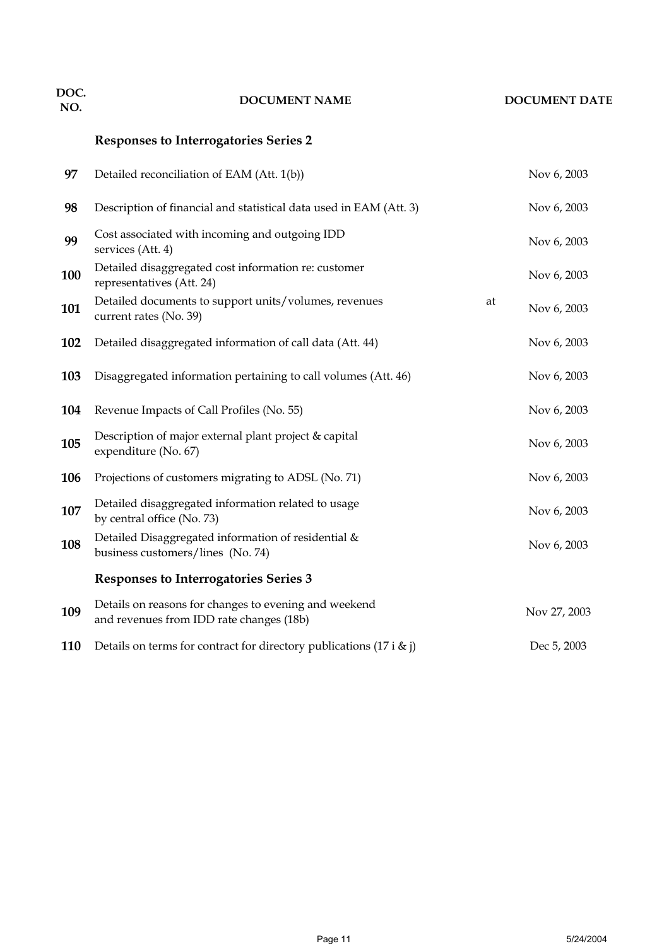# **DOC. NO. DOCUMENT NAME DOCUMENT DATE**

## **Responses to Interrogatories Series 2**

| 97  | Detailed reconciliation of EAM (Att. 1(b))                                                        |    | Nov 6, 2003  |
|-----|---------------------------------------------------------------------------------------------------|----|--------------|
| 98  | Description of financial and statistical data used in EAM (Att. 3)                                |    | Nov 6, 2003  |
| 99  | Cost associated with incoming and outgoing IDD<br>services (Att. 4)                               |    | Nov 6, 2003  |
| 100 | Detailed disaggregated cost information re: customer<br>representatives (Att. 24)                 |    | Nov 6, 2003  |
| 101 | Detailed documents to support units/volumes, revenues<br>current rates (No. 39)                   | at | Nov 6, 2003  |
| 102 | Detailed disaggregated information of call data (Att. 44)                                         |    | Nov 6, 2003  |
| 103 | Disaggregated information pertaining to call volumes (Att. 46)                                    |    | Nov 6, 2003  |
| 104 | Revenue Impacts of Call Profiles (No. 55)                                                         |    | Nov 6, 2003  |
| 105 | Description of major external plant project & capital<br>expenditure (No. 67)                     |    | Nov 6, 2003  |
| 106 | Projections of customers migrating to ADSL (No. 71)                                               |    | Nov 6, 2003  |
| 107 | Detailed disaggregated information related to usage<br>by central office (No. 73)                 |    | Nov 6, 2003  |
| 108 | Detailed Disaggregated information of residential &<br>business customers/lines (No. 74)          |    | Nov 6, 2003  |
|     | <b>Responses to Interrogatories Series 3</b>                                                      |    |              |
| 109 | Details on reasons for changes to evening and weekend<br>and revenues from IDD rate changes (18b) |    | Nov 27, 2003 |
| 110 | Details on terms for contract for directory publications (17 i $\&$ j)                            |    | Dec 5, 2003  |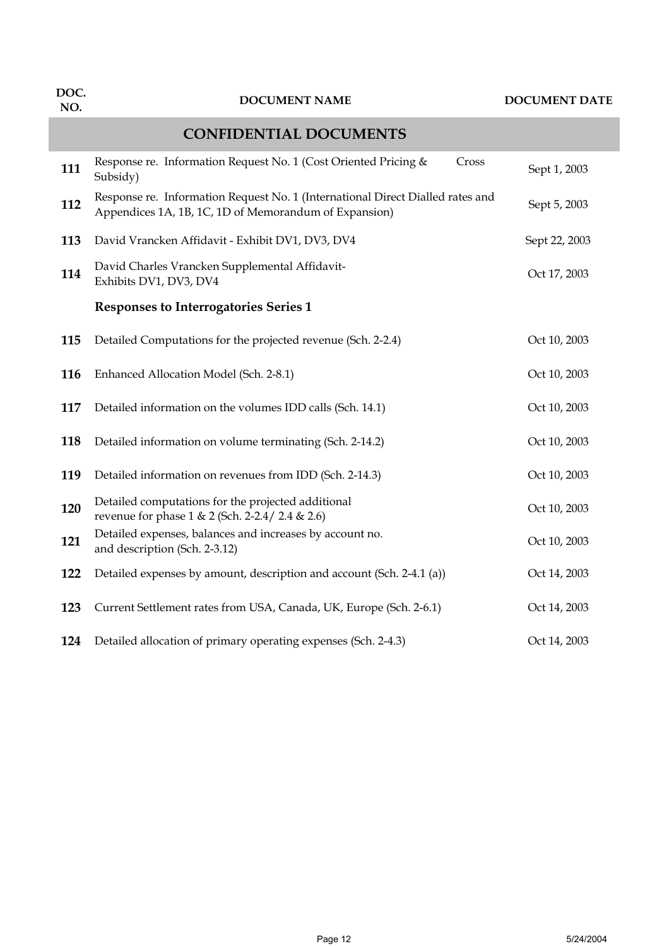| DOC.<br>NO. | <b>DOCUMENT NAME</b>                                                                                                                    | <b>DOCUMENT DATE</b> |
|-------------|-----------------------------------------------------------------------------------------------------------------------------------------|----------------------|
|             | <b>CONFIDENTIAL DOCUMENTS</b>                                                                                                           |                      |
| 111         | Response re. Information Request No. 1 (Cost Oriented Pricing &<br>Cross<br>Subsidy)                                                    | Sept 1, 2003         |
| 112         | Response re. Information Request No. 1 (International Direct Dialled rates and<br>Appendices 1A, 1B, 1C, 1D of Memorandum of Expansion) | Sept 5, 2003         |
| 113         | David Vrancken Affidavit - Exhibit DV1, DV3, DV4                                                                                        | Sept 22, 2003        |
| 114         | David Charles Vrancken Supplemental Affidavit-<br>Exhibits DV1, DV3, DV4                                                                | Oct 17, 2003         |
|             | Responses to Interrogatories Series 1                                                                                                   |                      |
| 115         | Detailed Computations for the projected revenue (Sch. 2-2.4)                                                                            | Oct 10, 2003         |
| 116         | Enhanced Allocation Model (Sch. 2-8.1)                                                                                                  | Oct 10, 2003         |
| 117         | Detailed information on the volumes IDD calls (Sch. 14.1)                                                                               | Oct 10, 2003         |
| 118         | Detailed information on volume terminating (Sch. 2-14.2)                                                                                | Oct 10, 2003         |
| 119         | Detailed information on revenues from IDD (Sch. 2-14.3)                                                                                 | Oct 10, 2003         |
| 120         | Detailed computations for the projected additional<br>revenue for phase 1 & 2 (Sch. 2-2.4/ 2.4 & 2.6)                                   | Oct 10, 2003         |
| 121         | Detailed expenses, balances and increases by account no.<br>and description (Sch. 2-3.12)                                               | Oct 10, 2003         |
| 122         | Detailed expenses by amount, description and account (Sch. 2-4.1 (a))                                                                   | Oct 14, 2003         |
| 123         | Current Settlement rates from USA, Canada, UK, Europe (Sch. 2-6.1)                                                                      | Oct 14, 2003         |
| 124         | Detailed allocation of primary operating expenses (Sch. 2-4.3)                                                                          | Oct 14, 2003         |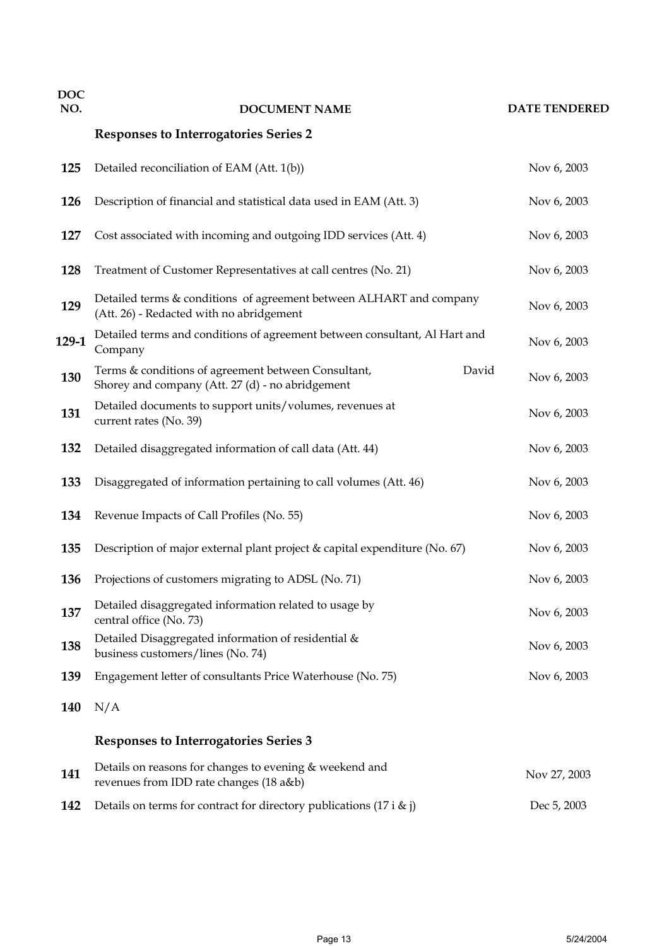| <b>DOC</b><br>NO. | <b>DOCUMENT NAME</b>                                                                                            |       | <b>DATE TENDERED</b> |
|-------------------|-----------------------------------------------------------------------------------------------------------------|-------|----------------------|
|                   | <b>Responses to Interrogatories Series 2</b>                                                                    |       |                      |
| 125               | Detailed reconciliation of EAM (Att. 1(b))                                                                      |       | Nov 6, 2003          |
| 126               | Description of financial and statistical data used in EAM (Att. 3)                                              |       | Nov 6, 2003          |
| 127               | Cost associated with incoming and outgoing IDD services (Att. 4)                                                |       | Nov 6, 2003          |
| 128               | Treatment of Customer Representatives at call centres (No. 21)                                                  |       | Nov 6, 2003          |
| 129               | Detailed terms & conditions of agreement between ALHART and company<br>(Att. 26) - Redacted with no abridgement |       | Nov 6, 2003          |
| 129-1             | Detailed terms and conditions of agreement between consultant, Al Hart and<br>Company                           |       | Nov 6, 2003          |
| 130               | Terms & conditions of agreement between Consultant,<br>Shorey and company (Att. 27 (d) - no abridgement         | David | Nov 6, 2003          |
| 131               | Detailed documents to support units/volumes, revenues at<br>current rates (No. 39)                              |       | Nov 6, 2003          |
| 132               | Detailed disaggregated information of call data (Att. 44)                                                       |       | Nov 6, 2003          |
| 133               | Disaggregated of information pertaining to call volumes (Att. 46)                                               |       | Nov 6, 2003          |
| 134               | Revenue Impacts of Call Profiles (No. 55)                                                                       |       | Nov 6, 2003          |
| 135               | Description of major external plant project & capital expenditure (No. 67)                                      |       | Nov 6, 2003          |
| 136               | Projections of customers migrating to ADSL (No. 71)                                                             |       | Nov 6, 2003          |
| 137               | Detailed disaggregated information related to usage by<br>central office (No. 73)                               |       | Nov 6, 2003          |
| 138               | Detailed Disaggregated information of residential &<br>business customers/lines (No. 74)                        |       | Nov 6, 2003          |
| 139               | Engagement letter of consultants Price Waterhouse (No. 75)                                                      |       | Nov 6, 2003          |
| 140               | N/A                                                                                                             |       |                      |
|                   | <b>Responses to Interrogatories Series 3</b>                                                                    |       |                      |
| 141               | Details on reasons for changes to evening & weekend and<br>revenues from IDD rate changes (18 a&b)              |       | Nov 27, 2003         |
| 142               | Details on terms for contract for directory publications (17 i $\&$ j)                                          |       | Dec 5, 2003          |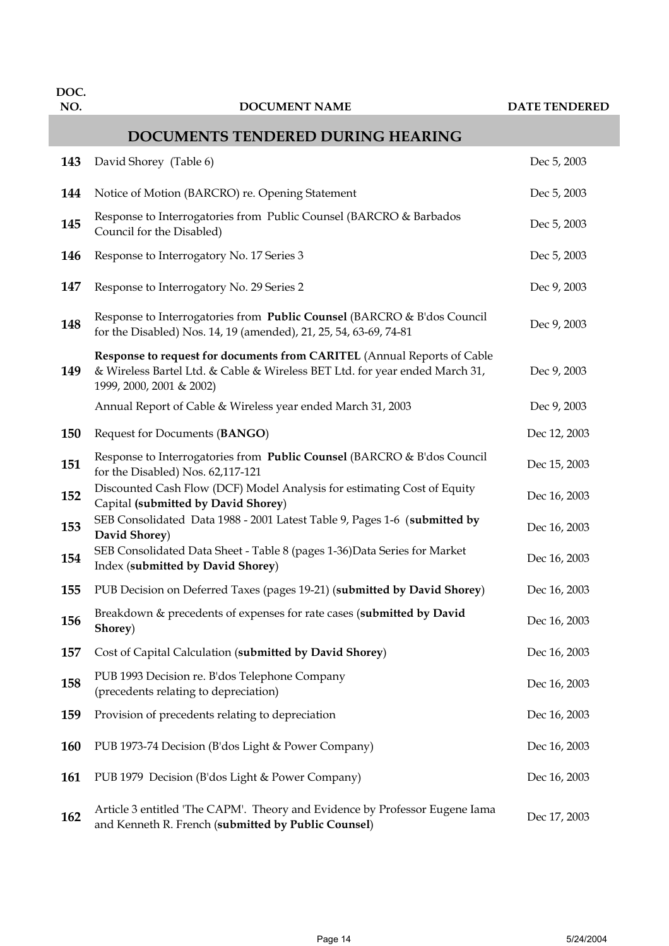| DOC.<br>NO. | <b>DOCUMENT NAME</b>                                                                                                                                                               | <b>DATE TENDERED</b> |
|-------------|------------------------------------------------------------------------------------------------------------------------------------------------------------------------------------|----------------------|
|             | DOCUMENTS TENDERED DURING HEARING                                                                                                                                                  |                      |
|             |                                                                                                                                                                                    |                      |
| 143         | David Shorey (Table 6)                                                                                                                                                             | Dec 5, 2003          |
| 144         | Notice of Motion (BARCRO) re. Opening Statement                                                                                                                                    | Dec 5, 2003          |
| 145         | Response to Interrogatories from Public Counsel (BARCRO & Barbados<br>Council for the Disabled)                                                                                    | Dec 5, 2003          |
| 146         | Response to Interrogatory No. 17 Series 3                                                                                                                                          | Dec 5, 2003          |
| 147         | Response to Interrogatory No. 29 Series 2                                                                                                                                          | Dec 9, 2003          |
| 148         | Response to Interrogatories from Public Counsel (BARCRO & B'dos Council<br>for the Disabled) Nos. 14, 19 (amended), 21, 25, 54, 63-69, 74-81                                       | Dec 9, 2003          |
| 149         | Response to request for documents from CARITEL (Annual Reports of Cable<br>& Wireless Bartel Ltd. & Cable & Wireless BET Ltd. for year ended March 31,<br>1999, 2000, 2001 & 2002) | Dec 9, 2003          |
|             | Annual Report of Cable & Wireless year ended March 31, 2003                                                                                                                        | Dec 9, 2003          |
| 150         | Request for Documents (BANGO)                                                                                                                                                      | Dec 12, 2003         |
| 151         | Response to Interrogatories from Public Counsel (BARCRO & B'dos Council<br>for the Disabled) Nos. 62,117-121                                                                       | Dec 15, 2003         |
| 152         | Discounted Cash Flow (DCF) Model Analysis for estimating Cost of Equity<br>Capital (submitted by David Shorey)                                                                     | Dec 16, 2003         |
| 153         | SEB Consolidated Data 1988 - 2001 Latest Table 9, Pages 1-6 (submitted by<br>David Shorey)                                                                                         | Dec 16, 2003         |
| 154         | SEB Consolidated Data Sheet - Table 8 (pages 1-36) Data Series for Market<br>Index (submitted by David Shorey)                                                                     | Dec 16, 2003         |
| 155         | PUB Decision on Deferred Taxes (pages 19-21) (submitted by David Shorey)                                                                                                           | Dec 16, 2003         |
| 156         | Breakdown & precedents of expenses for rate cases (submitted by David<br>Shorey)                                                                                                   | Dec 16, 2003         |
| 157         | Cost of Capital Calculation (submitted by David Shorey)                                                                                                                            | Dec 16, 2003         |
| 158         | PUB 1993 Decision re. B'dos Telephone Company<br>(precedents relating to depreciation)                                                                                             | Dec 16, 2003         |
| 159         | Provision of precedents relating to depreciation                                                                                                                                   | Dec 16, 2003         |
| 160         | PUB 1973-74 Decision (B'dos Light & Power Company)                                                                                                                                 | Dec 16, 2003         |
| 161         | PUB 1979 Decision (B'dos Light & Power Company)                                                                                                                                    | Dec 16, 2003         |
| 162         | Article 3 entitled 'The CAPM'. Theory and Evidence by Professor Eugene Iama<br>and Kenneth R. French (submitted by Public Counsel)                                                 | Dec 17, 2003         |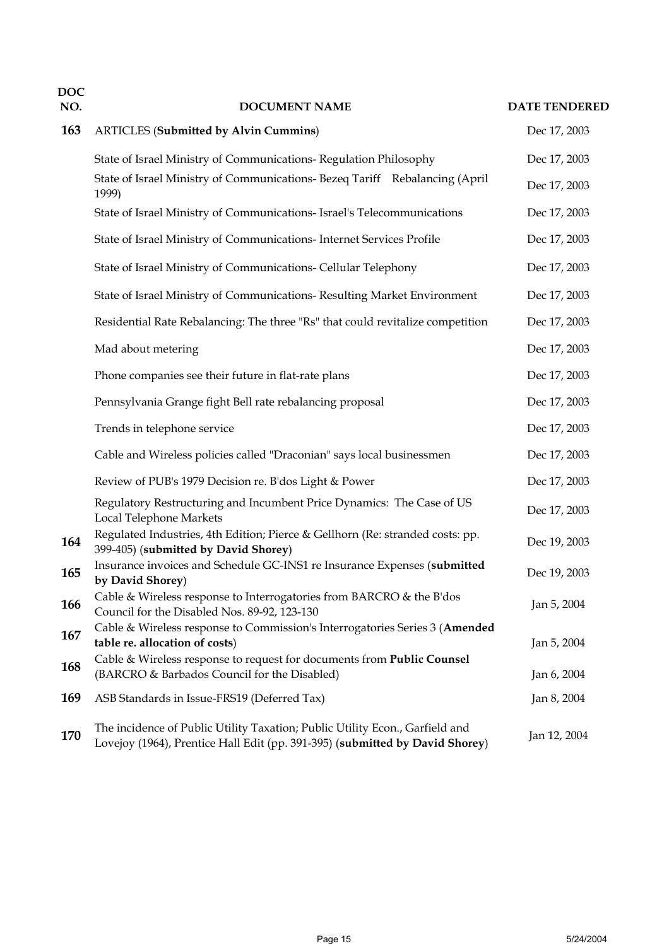| <b>DOC</b><br>NO. | <b>DOCUMENT NAME</b>                                                                                                                                         | <b>DATE TENDERED</b> |
|-------------------|--------------------------------------------------------------------------------------------------------------------------------------------------------------|----------------------|
| 163               | <b>ARTICLES</b> (Submitted by Alvin Cummins)                                                                                                                 | Dec 17, 2003         |
|                   | State of Israel Ministry of Communications- Regulation Philosophy                                                                                            | Dec 17, 2003         |
|                   | State of Israel Ministry of Communications- Bezeq Tariff Rebalancing (April<br>1999)                                                                         | Dec 17, 2003         |
|                   | State of Israel Ministry of Communications- Israel's Telecommunications                                                                                      | Dec 17, 2003         |
|                   | State of Israel Ministry of Communications- Internet Services Profile                                                                                        | Dec 17, 2003         |
|                   | State of Israel Ministry of Communications- Cellular Telephony                                                                                               | Dec 17, 2003         |
|                   | State of Israel Ministry of Communications- Resulting Market Environment                                                                                     | Dec 17, 2003         |
|                   | Residential Rate Rebalancing: The three "Rs" that could revitalize competition                                                                               | Dec 17, 2003         |
|                   | Mad about metering                                                                                                                                           | Dec 17, 2003         |
|                   | Phone companies see their future in flat-rate plans                                                                                                          | Dec 17, 2003         |
|                   | Pennsylvania Grange fight Bell rate rebalancing proposal                                                                                                     | Dec 17, 2003         |
|                   | Trends in telephone service                                                                                                                                  | Dec 17, 2003         |
|                   | Cable and Wireless policies called "Draconian" says local businessmen                                                                                        | Dec 17, 2003         |
|                   | Review of PUB's 1979 Decision re. B'dos Light & Power                                                                                                        | Dec 17, 2003         |
|                   | Regulatory Restructuring and Incumbent Price Dynamics: The Case of US<br>Local Telephone Markets                                                             | Dec 17, 2003         |
| 164               | Regulated Industries, 4th Edition; Pierce & Gellhorn (Re: stranded costs: pp.<br>399-405) (submitted by David Shorey)                                        | Dec 19, 2003         |
| 165               | Insurance invoices and Schedule GC-INS1 re Insurance Expenses (submitted<br>by David Shorey)                                                                 | Dec 19, 2003         |
| 166               | Cable & Wireless response to Interrogatories from BARCRO & the B'dos<br>Council for the Disabled Nos. 89-92, 123-130                                         | Jan 5, 2004          |
| 167               | Cable & Wireless response to Commission's Interrogatories Series 3 (Amended<br>table re. allocation of costs)                                                | Jan 5, 2004          |
| 168               | Cable & Wireless response to request for documents from Public Counsel<br>(BARCRO & Barbados Council for the Disabled)                                       | Jan 6, 2004          |
| 169               | ASB Standards in Issue-FRS19 (Deferred Tax)                                                                                                                  | Jan 8, 2004          |
| 170               | The incidence of Public Utility Taxation; Public Utility Econ., Garfield and<br>Lovejoy (1964), Prentice Hall Edit (pp. 391-395) (submitted by David Shorey) | Jan 12, 2004         |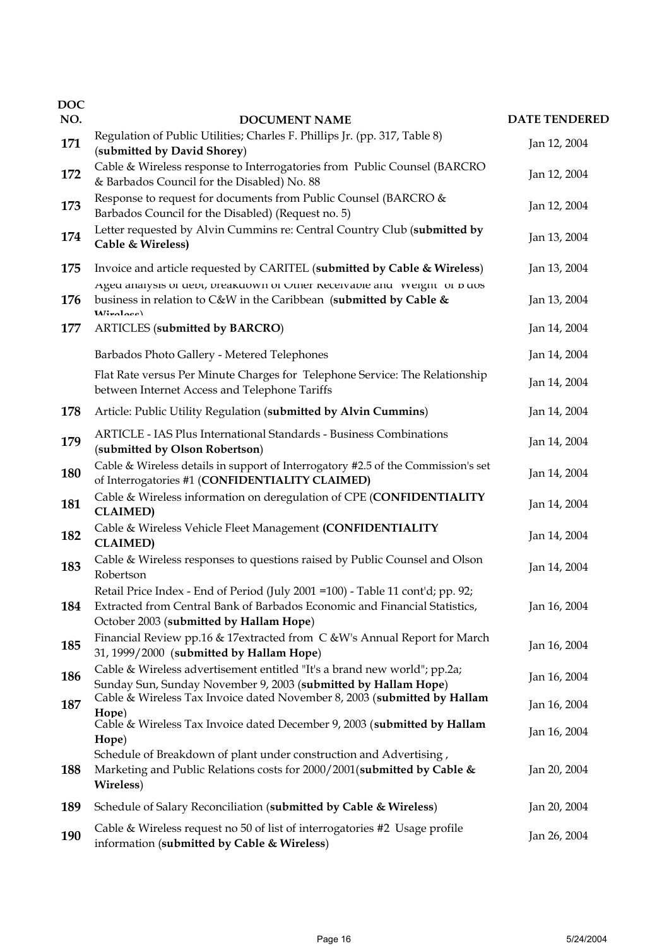| <b>DOC</b><br>NO. |                                                                                                                                                                                                          | <b>DATE TENDERED</b> |
|-------------------|----------------------------------------------------------------------------------------------------------------------------------------------------------------------------------------------------------|----------------------|
| 171               | <b>DOCUMENT NAME</b><br>Regulation of Public Utilities; Charles F. Phillips Jr. (pp. 317, Table 8)                                                                                                       | Jan 12, 2004         |
|                   | (submitted by David Shorey)<br>Cable & Wireless response to Interrogatories from Public Counsel (BARCRO                                                                                                  |                      |
| 172               | & Barbados Council for the Disabled) No. 88                                                                                                                                                              | Jan 12, 2004         |
| 173               | Response to request for documents from Public Counsel (BARCRO &<br>Barbados Council for the Disabled) (Request no. 5)                                                                                    | Jan 12, 2004         |
| 174               | Letter requested by Alvin Cummins re: Central Country Club (submitted by<br>Cable & Wireless)                                                                                                            | Jan 13, 2004         |
| 175               | Invoice and article requested by CARITEL (submitted by Cable & Wireless)                                                                                                                                 | Jan 13, 2004         |
| 176               | Ageu analysis of dept, preakdown of Other Receivable and vvergift of b dos<br>business in relation to C&W in the Caribbean (submitted by Cable &<br>Miralore                                             | Jan 13, 2004         |
| 177               | <b>ARTICLES</b> (submitted by BARCRO)                                                                                                                                                                    | Jan 14, 2004         |
|                   | Barbados Photo Gallery - Metered Telephones                                                                                                                                                              | Jan 14, 2004         |
|                   | Flat Rate versus Per Minute Charges for Telephone Service: The Relationship<br>between Internet Access and Telephone Tariffs                                                                             | Jan 14, 2004         |
| 178               | Article: Public Utility Regulation (submitted by Alvin Cummins)                                                                                                                                          | Jan 14, 2004         |
| 179               | ARTICLE - IAS Plus International Standards - Business Combinations<br>(submitted by Olson Robertson)                                                                                                     | Jan 14, 2004         |
| 180               | Cable & Wireless details in support of Interrogatory #2.5 of the Commission's set<br>of Interrogatories #1 (CONFIDENTIALITY CLAIMED)                                                                     | Jan 14, 2004         |
| 181               | Cable & Wireless information on deregulation of CPE (CONFIDENTIALITY<br><b>CLAIMED)</b>                                                                                                                  | Jan 14, 2004         |
| 182               | Cable & Wireless Vehicle Fleet Management (CONFIDENTIALITY<br><b>CLAIMED)</b>                                                                                                                            | Jan 14, 2004         |
| 183               | Cable & Wireless responses to questions raised by Public Counsel and Olson<br>Robertson                                                                                                                  | Jan 14, 2004         |
| 184               | Retail Price Index - End of Period (July 2001 = 100) - Table 11 cont'd; pp. 92;<br>Extracted from Central Bank of Barbados Economic and Financial Statistics,<br>October 2003 (submitted by Hallam Hope) | Jan 16, 2004         |
| 185               | Financial Review pp.16 & 17extracted from C &W's Annual Report for March<br>31, 1999/2000 (submitted by Hallam Hope)                                                                                     | Jan 16, 2004         |
| 186               | Cable & Wireless advertisement entitled "It's a brand new world"; pp.2a;<br>Sunday Sun, Sunday November 9, 2003 (submitted by Hallam Hope)                                                               | Jan 16, 2004         |
| 187               | Cable & Wireless Tax Invoice dated November 8, 2003 (submitted by Hallam<br>Hope)                                                                                                                        | Jan 16, 2004         |
|                   | Cable & Wireless Tax Invoice dated December 9, 2003 (submitted by Hallam<br>Hope)                                                                                                                        | Jan 16, 2004         |
| 188               | Schedule of Breakdown of plant under construction and Advertising,<br>Marketing and Public Relations costs for 2000/2001(submitted by Cable &<br>Wireless)                                               | Jan 20, 2004         |
| 189               | Schedule of Salary Reconciliation (submitted by Cable & Wireless)                                                                                                                                        | Jan 20, 2004         |
| 190               | Cable & Wireless request no 50 of list of interrogatories #2 Usage profile<br>information (submitted by Cable & Wireless)                                                                                | Jan 26, 2004         |
|                   |                                                                                                                                                                                                          |                      |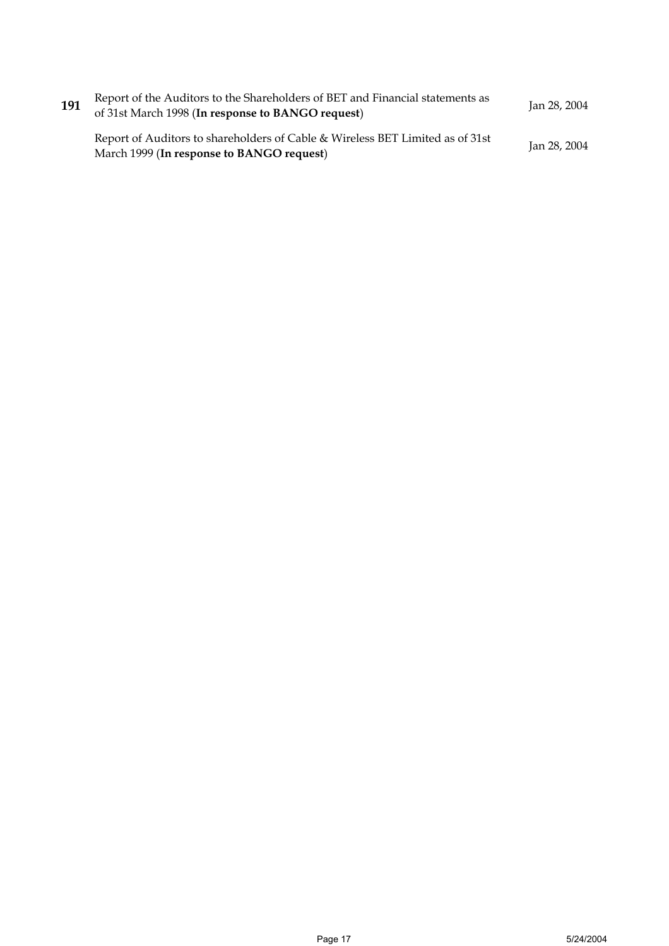| 191 | Report of the Auditors to the Shareholders of BET and Financial statements as<br>of 31st March 1998 (In response to BANGO request) | Jan 28, 2004 |
|-----|------------------------------------------------------------------------------------------------------------------------------------|--------------|
|     | Report of Auditors to shareholders of Cable & Wireless BET Limited as of 31st<br>March 1999 (In response to BANGO request)         | Jan 28, 2004 |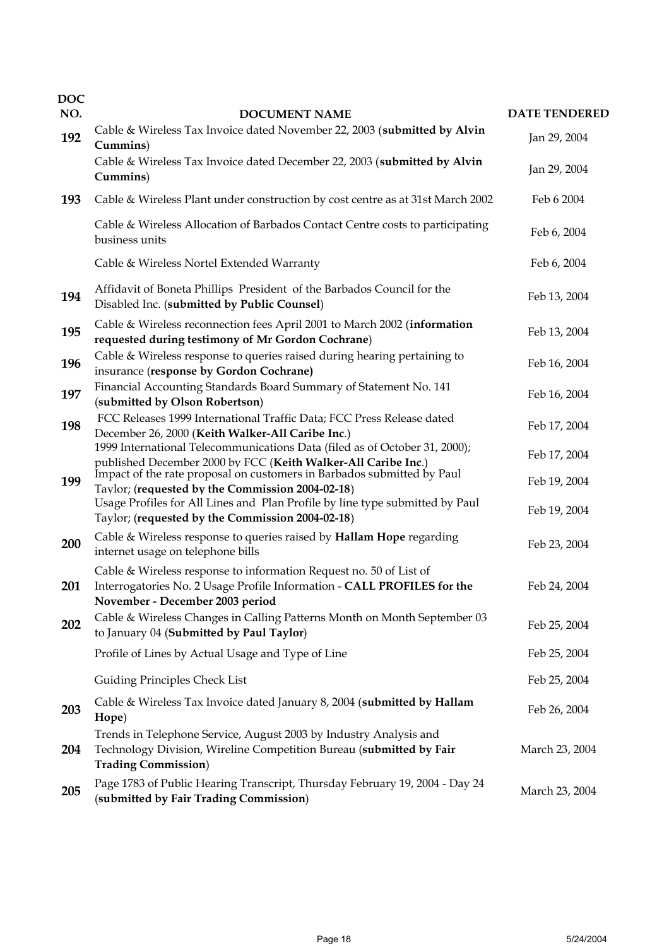| <b>DOC</b><br>NO. | <b>DOCUMENT NAME</b>                                                                                                                                                                 | <b>DATE TENDERED</b> |
|-------------------|--------------------------------------------------------------------------------------------------------------------------------------------------------------------------------------|----------------------|
| 192               | Cable & Wireless Tax Invoice dated November 22, 2003 (submitted by Alvin                                                                                                             | Jan 29, 2004         |
|                   | Cummins)<br>Cable & Wireless Tax Invoice dated December 22, 2003 (submitted by Alvin<br>Cummins)                                                                                     | Jan 29, 2004         |
| 193               | Cable & Wireless Plant under construction by cost centre as at 31st March 2002                                                                                                       | Feb 6 2004           |
|                   | Cable & Wireless Allocation of Barbados Contact Centre costs to participating<br>business units                                                                                      | Feb 6, 2004          |
|                   | Cable & Wireless Nortel Extended Warranty                                                                                                                                            | Feb 6, 2004          |
| 194               | Affidavit of Boneta Phillips President of the Barbados Council for the<br>Disabled Inc. (submitted by Public Counsel)                                                                | Feb 13, 2004         |
| 195               | Cable & Wireless reconnection fees April 2001 to March 2002 (information<br>requested during testimony of Mr Gordon Cochrane)                                                        | Feb 13, 2004         |
| 196               | Cable & Wireless response to queries raised during hearing pertaining to<br>insurance (response by Gordon Cochrane)                                                                  | Feb 16, 2004         |
| 197               | Financial Accounting Standards Board Summary of Statement No. 141<br>(submitted by Olson Robertson)                                                                                  | Feb 16, 2004         |
| 198               | FCC Releases 1999 International Traffic Data; FCC Press Release dated<br>December 26, 2000 (Keith Walker-All Caribe Inc.)                                                            | Feb 17, 2004         |
|                   | 1999 International Telecommunications Data (filed as of October 31, 2000);                                                                                                           | Feb 17, 2004         |
| 199               | published December 2000 by FCC (Keith Walker-All Caribe Inc.)<br>Impact of the rate proposal on customers in Barbados submitted by Paul                                              | Feb 19, 2004         |
|                   | Taylor; (requested by the Commission 2004-02-18)<br>Usage Profiles for All Lines and Plan Profile by line type submitted by Paul<br>Taylor; (requested by the Commission 2004-02-18) | Feb 19, 2004         |
| 200               | Cable & Wireless response to queries raised by Hallam Hope regarding<br>internet usage on telephone bills                                                                            | Feb 23, 2004         |
| 201               | Cable & Wireless response to information Request no. 50 of List of<br>Interrogatories No. 2 Usage Profile Information - CALL PROFILES for the<br>November - December 2003 period     | Feb 24, 2004         |
| 202               | Cable & Wireless Changes in Calling Patterns Month on Month September 03<br>to January 04 (Submitted by Paul Taylor)                                                                 | Feb 25, 2004         |
|                   | Profile of Lines by Actual Usage and Type of Line                                                                                                                                    | Feb 25, 2004         |
|                   | Guiding Principles Check List                                                                                                                                                        | Feb 25, 2004         |
| 203               | Cable & Wireless Tax Invoice dated January 8, 2004 (submitted by Hallam<br>Hope)                                                                                                     | Feb 26, 2004         |
| 204               | Trends in Telephone Service, August 2003 by Industry Analysis and<br>Technology Division, Wireline Competition Bureau (submitted by Fair<br><b>Trading Commission)</b>               | March 23, 2004       |
| 205               | Page 1783 of Public Hearing Transcript, Thursday February 19, 2004 - Day 24<br>(submitted by Fair Trading Commission)                                                                | March 23, 2004       |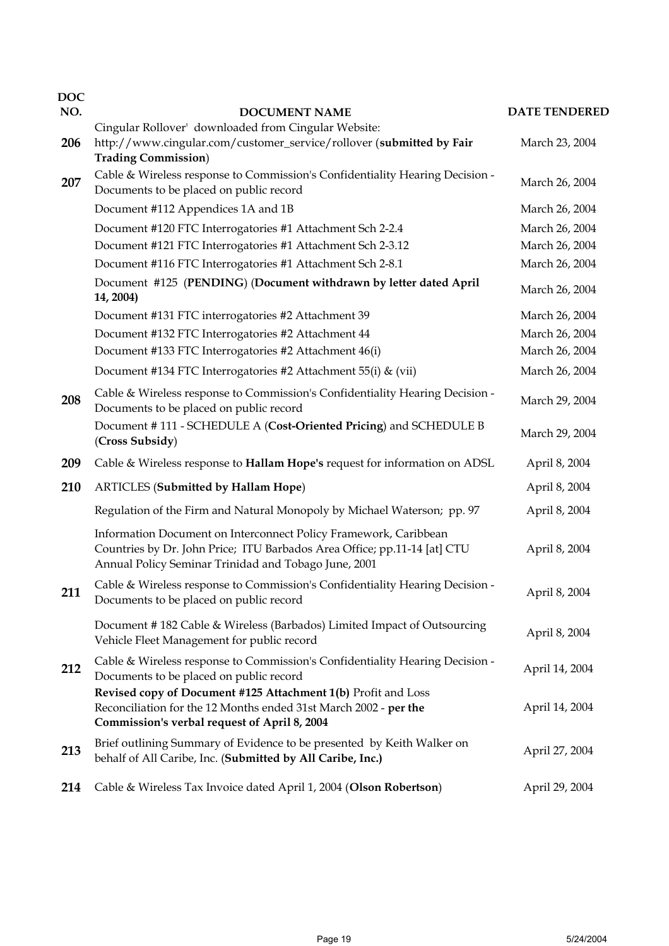| <b>DOC</b> |                                                                                                                                                                                                      | <b>DATE TENDERED</b> |
|------------|------------------------------------------------------------------------------------------------------------------------------------------------------------------------------------------------------|----------------------|
| NO.        | <b>DOCUMENT NAME</b><br>Cingular Rollover' downloaded from Cingular Website:                                                                                                                         |                      |
| 206        | http://www.cingular.com/customer_service/rollover (submitted by Fair<br><b>Trading Commission</b> )                                                                                                  | March 23, 2004       |
| 207        | Cable & Wireless response to Commission's Confidentiality Hearing Decision -<br>Documents to be placed on public record                                                                              | March 26, 2004       |
|            | Document #112 Appendices 1A and 1B                                                                                                                                                                   | March 26, 2004       |
|            | Document #120 FTC Interrogatories #1 Attachment Sch 2-2.4                                                                                                                                            | March 26, 2004       |
|            | Document #121 FTC Interrogatories #1 Attachment Sch 2-3.12                                                                                                                                           | March 26, 2004       |
|            | Document #116 FTC Interrogatories #1 Attachment Sch 2-8.1                                                                                                                                            | March 26, 2004       |
|            | Document #125 (PENDING) (Document withdrawn by letter dated April<br>14, 2004)                                                                                                                       | March 26, 2004       |
|            | Document #131 FTC interrogatories #2 Attachment 39                                                                                                                                                   | March 26, 2004       |
|            | Document #132 FTC Interrogatories #2 Attachment 44                                                                                                                                                   | March 26, 2004       |
|            | Document #133 FTC Interrogatories #2 Attachment 46(i)                                                                                                                                                | March 26, 2004       |
|            | Document #134 FTC Interrogatories #2 Attachment 55(i) & (vii)                                                                                                                                        | March 26, 2004       |
| 208        | Cable & Wireless response to Commission's Confidentiality Hearing Decision -<br>Documents to be placed on public record                                                                              | March 29, 2004       |
|            | Document #111 - SCHEDULE A (Cost-Oriented Pricing) and SCHEDULE B<br>(Cross Subsidy)                                                                                                                 | March 29, 2004       |
| 209        | Cable & Wireless response to Hallam Hope's request for information on ADSL                                                                                                                           | April 8, 2004        |
| 210        | <b>ARTICLES</b> (Submitted by Hallam Hope)                                                                                                                                                           | April 8, 2004        |
|            | Regulation of the Firm and Natural Monopoly by Michael Waterson; pp. 97                                                                                                                              | April 8, 2004        |
|            | Information Document on Interconnect Policy Framework, Caribbean<br>Countries by Dr. John Price; ITU Barbados Area Office; pp.11-14 [at] CTU<br>Annual Policy Seminar Trinidad and Tobago June, 2001 | April 8, 2004        |
| 211        | Cable & Wireless response to Commission's Confidentiality Hearing Decision -<br>Documents to be placed on public record                                                                              | April 8, 2004        |
|            | Document #182 Cable & Wireless (Barbados) Limited Impact of Outsourcing<br>Vehicle Fleet Management for public record                                                                                | April 8, 2004        |
| 212        | Cable & Wireless response to Commission's Confidentiality Hearing Decision -<br>Documents to be placed on public record                                                                              | April 14, 2004       |
|            | Revised copy of Document #125 Attachment 1(b) Profit and Loss<br>Reconciliation for the 12 Months ended 31st March 2002 - per the<br>Commission's verbal request of April 8, 2004                    | April 14, 2004       |
| 213        | Brief outlining Summary of Evidence to be presented by Keith Walker on<br>behalf of All Caribe, Inc. (Submitted by All Caribe, Inc.)                                                                 | April 27, 2004       |
| 214        | Cable & Wireless Tax Invoice dated April 1, 2004 (Olson Robertson)                                                                                                                                   | April 29, 2004       |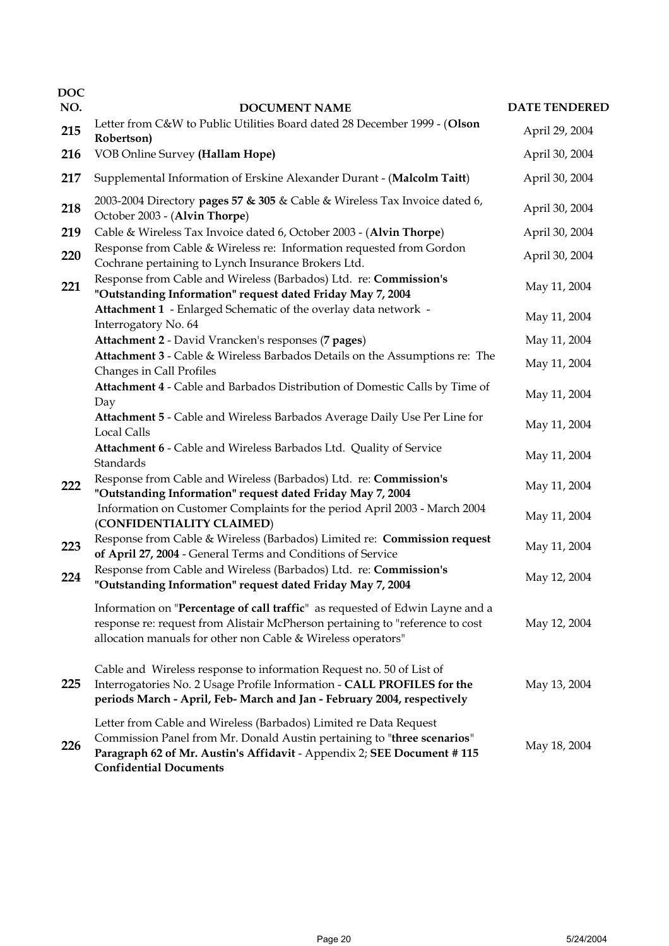| <b>DOC</b><br>NO. | <b>DOCUMENT NAME</b>                                                                                                                                                                                                                                    | <b>DATE TENDERED</b> |
|-------------------|---------------------------------------------------------------------------------------------------------------------------------------------------------------------------------------------------------------------------------------------------------|----------------------|
| 215               | Letter from C&W to Public Utilities Board dated 28 December 1999 - (Olson                                                                                                                                                                               | April 29, 2004       |
| 216               | Robertson)<br>VOB Online Survey (Hallam Hope)                                                                                                                                                                                                           | April 30, 2004       |
| 217               | Supplemental Information of Erskine Alexander Durant - (Malcolm Taitt)                                                                                                                                                                                  | April 30, 2004       |
| 218               | 2003-2004 Directory pages 57 & 305 & Cable & Wireless Tax Invoice dated 6,<br>October 2003 - (Alvin Thorpe)                                                                                                                                             | April 30, 2004       |
| 219               | Cable & Wireless Tax Invoice dated 6, October 2003 - (Alvin Thorpe)                                                                                                                                                                                     | April 30, 2004       |
| 220               | Response from Cable & Wireless re: Information requested from Gordon<br>Cochrane pertaining to Lynch Insurance Brokers Ltd.                                                                                                                             | April 30, 2004       |
| 221               | Response from Cable and Wireless (Barbados) Ltd. re: Commission's<br>"Outstanding Information" request dated Friday May 7, 2004                                                                                                                         | May 11, 2004         |
|                   | Attachment 1 - Enlarged Schematic of the overlay data network -<br>Interrogatory No. 64                                                                                                                                                                 | May 11, 2004         |
|                   | Attachment 2 - David Vrancken's responses (7 pages)                                                                                                                                                                                                     | May 11, 2004         |
|                   | Attachment 3 - Cable & Wireless Barbados Details on the Assumptions re: The<br>Changes in Call Profiles                                                                                                                                                 | May 11, 2004         |
|                   | Attachment 4 - Cable and Barbados Distribution of Domestic Calls by Time of<br>Day                                                                                                                                                                      | May 11, 2004         |
|                   | Attachment 5 - Cable and Wireless Barbados Average Daily Use Per Line for<br><b>Local Calls</b>                                                                                                                                                         | May 11, 2004         |
|                   | Attachment 6 - Cable and Wireless Barbados Ltd. Quality of Service<br>Standards                                                                                                                                                                         | May 11, 2004         |
| 222               | Response from Cable and Wireless (Barbados) Ltd. re: Commission's<br>"Outstanding Information" request dated Friday May 7, 2004                                                                                                                         | May 11, 2004         |
|                   | Information on Customer Complaints for the period April 2003 - March 2004<br>(CONFIDENTIALITY CLAIMED)                                                                                                                                                  | May 11, 2004         |
| 223               | Response from Cable & Wireless (Barbados) Limited re: Commission request<br>of April 27, 2004 - General Terms and Conditions of Service                                                                                                                 | May 11, 2004         |
| 224               | Response from Cable and Wireless (Barbados) Ltd. re: Commission's<br>"Outstanding Information" request dated Friday May 7, 2004                                                                                                                         | May 12, 2004         |
|                   | Information on "Percentage of call traffic" as requested of Edwin Layne and a<br>response re: request from Alistair McPherson pertaining to "reference to cost<br>allocation manuals for other non Cable & Wireless operators"                          | May 12, 2004         |
| 225               | Cable and Wireless response to information Request no. 50 of List of<br>Interrogatories No. 2 Usage Profile Information - CALL PROFILES for the<br>periods March - April, Feb- March and Jan - February 2004, respectively                              | May 13, 2004         |
| 226               | Letter from Cable and Wireless (Barbados) Limited re Data Request<br>Commission Panel from Mr. Donald Austin pertaining to "three scenarios"<br>Paragraph 62 of Mr. Austin's Affidavit - Appendix 2; SEE Document #115<br><b>Confidential Documents</b> | May 18, 2004         |